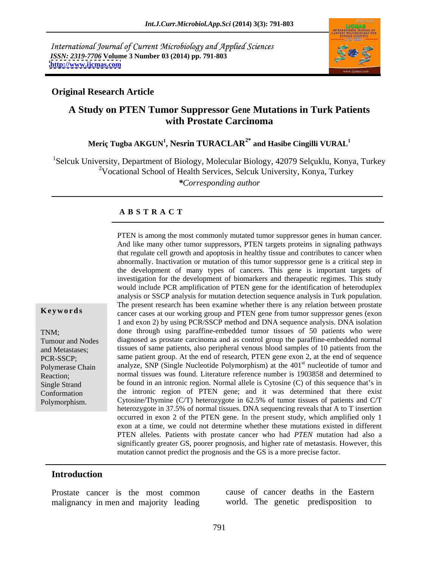International Journal of Current Microbiology and Applied Sciences *ISSN: 2319-7706* **Volume 3 Number 03 (2014) pp. 791-803 <http://www.ijcmas.com>**



### **Original Research Article**

# **A Study on PTEN Tumor Suppressor Gene Mutations in Turk Patients with Prostate Carcinoma**

### **Meriç Tugba AKGUN 1 , Nesrin TURACLAR2\* and Hasibe Cingilli VURAL<sup>1</sup>**

<sup>1</sup>Selcuk University, Department of Biology, Molecular Biology, 42079 Selçuklu, Konya, Turkey <sup>2</sup>Vocational School of Health Services, Selcuk University, Konya, Turkey

*\*Corresponding author*

#### **A B S T R A C T**

**Keywords**cancer cases at our working group and PTEN gene from tumor suppressor genes (exon TNM; done through using paraffine-embedded tumor tissues of 50 patients who were Tumour and Nodes diagnosed as prostate carcinoma and as control group the paraffine-embedded normal and Metastases; tissues of same patients, also peripheral venous blood samples of 10 patients from the PCR-SSCP; same patient group. At the end of research, PTEN gene exon 2, at the end of sequence Polymerase Chain analyze, SNP (Single Nucleotide Polymorphism) at the 401<sup>st</sup> nucleotide of tumor and Reaction; normal tissues was found. Literature reference number is 1903858 and determined to Single Strand be found in an intronic region. Normal allele is Cytosine (C) of this sequence that's in Conformation the intronic region of PTEN gene; and it was determined that there exist PTEN is among the most commonly mutated tumor suppressor genes in human cancer.<br>
And like many other tumor suppressors, PTEN targets proteins in signaling pathways<br>
that regulate cell growth and apoptosis in healthy tissu that regulate cell growth and apoptosis in healthy tissueand contributes to cancer when abnormally. Inactivation or mutation of this tumor suppressor gene is a critical step in the development of many types of cancers. This gene is important targets of investigation for the development of biomarkers and therapeutic regimes. This study would include PCR amplification of PTEN gene for the identification of heteroduplex analysis or SSCP analysis for mutation detection sequence analysis in Turk population. The present research has been examine whether there is any relation between prostate 1 and exon 2) by using PCR/SSCP method and DNA sequence analysis. DNA isolation st nucleotide of tumor and Cytosine/Thymine (C/T) heterozygote in 62.5% of tumor tissues of patients and C/T heterozygote in 37.5% of normal tissues. DNA sequencing reveals that A to T insertion occurred in exon 2 of the PTEN gene. In the present study, which amplified only 1 exon at a time, we could not determine whether these mutations existed in different PTEN alleles. Patients with prostate cancer who had *PTEN* mutation had also a significantly greater GS, poorer prognosis, and higher rate of metastasis. However, this mutation cannot predict the prognosis and the GS is a more precise factor.

#### **Introduction**

Prostate cancer is the most common malignancy in men and majority leading

cause of cancer deaths in the Eastern world. The genetic predisposition to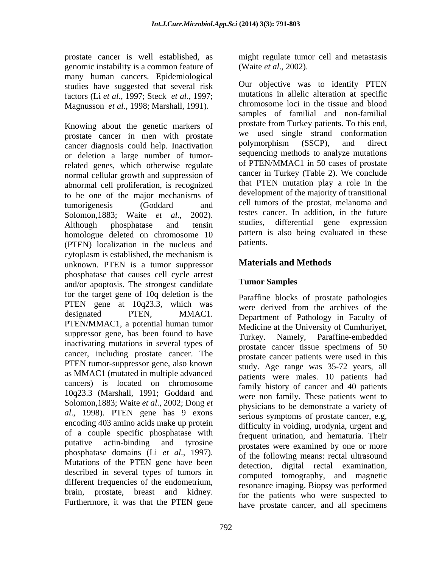prostate cancer is well established, as might regulate tumor cell and metastasis genomic instability is a common feature of (Waite *et al.*, 2002). many human cancers. Epidemiological studies have suggested that several risk factors (Li *et al*., 1997; Steck *et al*., 1997;

prostate cancer in men with prostate we used single strand conformation<br>cancer diagnosis could help Inactivation bolymorphism (SSCP), and direct cancer diagnosis could help. Inactivation or deletion a large number of tumorrelated genes, which otherwise regulate normal cellular growth and suppression of abnormal cell proliferation, is recognized to be one of the major mechanisms of homologue deleted on chromosome 10 pattern 1<br>(PTEN) localization in the nucleus and patients. (PTEN) localization in the nucleus and cytoplasm is established, the mechanism is unknown. PTEN is a tumor suppressor phosphatase that causes cell cycle arrest<br>and/or apoptosis. The strongest candidate **Tumor Samples** and/or apoptosis. The strongest candidate for the target gene of 10q deletion is the PTEN gene at 10q23.3, which was designated PTEN, MMAC1. Department of Pathology in Faculty of PTEN/MMAC1, a potential human tumor suppressor gene, has been found to have Turkey. Namely, inactivating mutations in several types of cancer, including prostate cancer. The PTEN tumor-suppressor gene, also known as MMAC1 (mutated in multiple advanced cancers) is located on chromosome 10q23.3 (Marshall, 1991; Goddard and Solomon,1883; Waite *et al*., 2002; Dong *et al*., 1998). PTEN gene has 9 exons encoding 403 amino acids make up protein of a couple specific phosphatase with putative actin-binding and tyrosine prostates were examined by one or more phosphatase domains (Li *et al*., 1997). Mutations of the PTEN gene have been detection. described in several types of tumors in different frequencies of the endometrium, brain, prostate, breast and kidney. Furthermore, it was that the PTEN gene

(Waite *et al*., 2002).

Magnusson *et al.*, 1998; Marshall, 1991). Chromosome loci in the tissue and blood<br>samples of familial and non-familial<br>Knowing about the genetic markers of prostate from Turkey patients. To this end, tumorigenesis (Goddard and cell tumors of the prostat, melanoma and Solomon,1883; Waite *et al.*, 2002). testes cancer. In addition, in the future <br>Although phosphatase and tensin studies, differential gene expression Our objective was to identify PTEN mutations in allelic alteration at specific chromosome loci in the tissue and blood samples of familial and non-familial prostate from Turkey patients. To this end, we used single strand conformation polymorphism (SSCP), and direct sequencing methods to analyze mutations of PTEN/MMAC1 in 50 cases of prostate cancer in Turkey (Table 2). We conclude that PTEN mutation play a role in the development of the majority of transitional cell tumors of the prostat, melanoma and testes cancer. In addition, in the future studies, differential gene expression pattern is also being evaluated in these patients.

# **Materials and Methods**

# **Tumor Samples**

Paraffine blocks of prostate pathologies were derived from the archives of the Medicine at the University of Cumhuriyet, Paraffine-embedded prostate cancer tissue specimens of 50 prostate cancer patients were used in this study. Age range was 35-72 years, all patients were males. 10 patients had family history of cancer and 40 patients were non family. These patients went to physicians to be demonstrate a variety of serious symptoms of prostate cancer, e.g*,* difficulty in voiding, urodynia, urgent and frequent urination, and hematuria. Their of the following means: rectal ultrasound digital rectal examination, computed tomography, and magnetic resonance imaging. Biopsy was performed for the patients who were suspected to have prostate cancer, and all specimens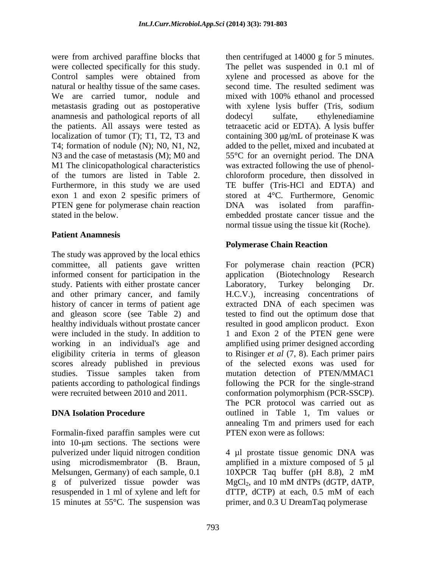were from archived paraffine blocks that then centrifuged at 14000 g for 5 minutes. were collected specifically for this study. The pellet was suspended in 0.1 ml of Control samples were obtained from xylene and processed as above for the natural or healthy tissue of the same cases. Second time. The resulted sediment was We are carried tumor, nodule and mixed with 100% ethanol and processed metastasis grading out as postoperative with xylene lysis buffer (Tris, sodium anamnesis and pathological reports of all the patients. All assays were tested as tetraacetic acid or EDTA). A lysisbuffer localization of tumor (T); T1, T2, T3 and  $\qquad$  containing 300  $\mu$ g/mL of proteinase K was T4; formation of nodule (N); N0, N1, N2, added to the pellet, mixed and incubated at N3 and the case of metastasis (M); M0 and 55°C for an overnight period. The DNA M1 The clinicopathological characteristics of the tumors are listed in Table 2. chloroform procedure, then dissolved in Furthermore, in this study we are used TE buffer (Tris-HCl and EDTA) and exon 1 and exon 2 spesific primers of PTEN gene for polymerase chain reaction DNA was isolated from paraffinstated in the below. The embedded prostate cancer tissue and the embedded prostate cancer tissue and the

### **Patient Anamnesis**

The study was approved by the local ethics committee, all patients gave written For polymerase chain reaction (PCR) informed consent for participation in the application (Biotechnology Research study. Patients with either prostate cancer Laboratory, Turkey belonging Dr. and other primary cancer, and family H.C.V.), increasing concentrations of history of cancer in terms of patient age extracted DNA of each specimen was and gleason score (see Table 2) and tested to find out the optimum dose that healthy individuals without prostate cancer resulted in good amplicon product. Exon were included in the study. In addition to working in an individual's age and amplified using primer designed according eligibility criteria in terms of gleason to Risinger *et al* (7, 8). Each primer pairs scores already published in previous of the selected exons was used for studies. Tissue samples taken from patients according to pathological findings following the PCR for the single-strand

Formalin-fixed paraffin samples were cut into 10-um sections. The sections were pulverized under liquid nitrogen condition  $\frac{4 \mu}{2}$  prostate tissue genomic DNA was using microdismembrator (B. Braun, amplified in a mixture composed of  $5 \mu$ l Melsungen, Germany) of each sample, 0.1 10XPCR Taq buffer (pH 8.8), 2 mM g of pulverized tissue powder was MgCl<sub>2</sub>, and 10 mM dNTPs (dGTP, dATP, resuspended in 1 ml of xylene and left for dTTP, dCTP) at each, 0.5 mM of each 15 minutes at  $55^{\circ}$ C. The suspension was

xylene and processed as above for the mixed with 100% ethanol and processed dodecyl sulfate, ethylenediamine was extracted following the use of phenol stored at 4°C. Furthermore, Genomic DNA was isolated from paraffin normal tissue using the tissue kit (Roche).

### **Polymerase Chain Reaction**

were recruited between 2010 and 2011. conformation polymorphism (PCR-SSCP). **DNA Isolation Procedure** outlined in Table 1, Tm values or application (Biotechnology Research Laboratory, Turkey belonging Dr. 1 and Exon 2 of the PTEN gene were mutation detection of PTEN/MMAC1 The PCR protocol was carried out as annealing Tm and primers used for each PTEN exon were as follows:

> 10XPCR Taq buffer (pH 8.8), 2 mM  $MgCl<sub>2</sub>$ , and 10 mM dNTPs (dGTP, dATP,  $dTTP$ ,  $dCTP$ ) at each,  $0.5$  mM of each primer, and 0.3 U DreamTaq polymerase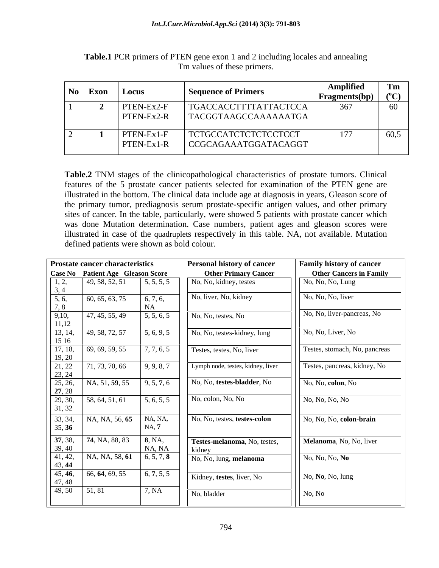| $\bf{No}$ Exon | Locus                  | <b>Sequence of Primers</b>                       | ıplified<br><b>Fragments(bp)</b> |      |
|----------------|------------------------|--------------------------------------------------|----------------------------------|------|
|                | TEN-Ex2-l<br>TEN-Ex2-R | TGACCACCTTTTATTACTCCA<br>  TACGGTAAGCCAAAAAAATGA | 267                              |      |
|                | TEN-Ex1-F              | TCTGCCATCTCTCTCCTCCT                             | 177                              | 60,5 |
|                | TEN-Ex1-R              | CCGCAGAAATGGATACAGGT                             |                                  |      |

**Table.1** PCR primers of PTEN gene exon 1 and 2 including locales and annealing Tm values of these primers.

**Table.2** TNM stages of the clinicopathological characteristics of prostate tumors. Clinical features of the 5 prostate cancer patients selected for examination of the PTEN gene are illustrated in the bottom. The clinical data include age at diagnosis in years, Gleason score of the primary tumor, prediagnosis serum prostate-specific antigen values, and other primary sites of cancer. In the table, particularly, were showed 5 patients with prostate cancer which was done Mutation determination. Case numbers, patient ages and gleason scores were illustrated in case of the quadruplets respectively in this table. NA, not available. Mutation defined patients were shown as bold colour.

|                   | Personal history of cancer<br><b>Prostate cancer characteristics</b> |                                       |                                        | <b>Family history of cancer</b> |  |
|-------------------|----------------------------------------------------------------------|---------------------------------------|----------------------------------------|---------------------------------|--|
|                   | Case No Patient Age Gleason Score                                    |                                       | <b>Other Primary Cancer</b>            | <b>Other Cancers in Family</b>  |  |
| 1, 2,<br>3, 4     | 49, 58, 52, 51                                                       | 5, 5, 5, 5                            | No, No, kidney, testes                 | No, No, No, Lung                |  |
| 5, 6,<br>7, 8     | 60, 65, 63, 75                                                       | 6, 7, 6,<br><b>NA</b>                 | No, liver, No, kidney                  | No, No, No, liver               |  |
| 9,10,<br>11,12    | 47, 45, 55, 49                                                       | 5, 5, 6, 5                            | No, No, testes, No                     | No, No, liver-pancreas, No      |  |
| 13, 14,<br>15 16  | 49, 58, 72, 57                                                       | 5, 6, 9, 5                            | No, No, testes-kidney, lung            | No, No, Liver, No               |  |
| 17, 18,<br>19, 20 | 69, 69, 59, 55                                                       | 7, 7, 6, 5                            | Testes, testes, No, liver              | Testes, stomach, No, pancreas   |  |
| 21, 22<br>23, 24  | 71, 73, 70, 66                                                       | 9, 9, 8, 7                            | Lymph node, testes, kidney, liver      | Testes, pancreas, kidney, No    |  |
| 25, 26,<br>27, 28 | NA, 51, 59, 55                                                       | 9, 5, 7, 6                            | No, No, testes-bladder, No             | No, No, colon, No               |  |
| 29, 30,<br>31, 32 | 58, 64, 51, 61                                                       | 5, 6, 5, 5                            | No, colon, No, No                      | No, No, No, No                  |  |
| 33, 34,<br>35, 36 | $NA, NA, 56, 65$ NA, NA,                                             | NA, 7                                 | No, No, testes, testes-colon           | No, No, No, colon-brain         |  |
| 37, 38,<br>39, 40 | 74, NA, 88, 83                                                       | $\vert 8, \text{NA}, \vert$<br>NA, NA | Testes-melanoma, No, testes,<br>kidney | Melanoma, No, No, liver         |  |
| 41, 42,<br>43, 44 | NA, NA, 58, <b>61</b>                                                | 6, 5, 7, 8                            | No, No, lung, melanoma                 | No, No, No, No                  |  |
| 45, 46,<br>47, 48 | 66, 64, 69, 55                                                       | 6, 7, 5, 5                            | Kidney, testes, liver, No              | No, No, No, lung                |  |
| 49,50             | 51, 81                                                               | 7, NA                                 | No, bladder                            | No, No                          |  |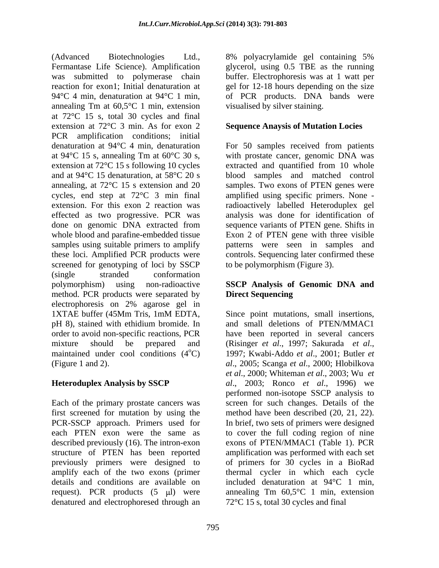(Advanced Biotechnologies Ltd., 8% polyacrylamide gel containing 5% Fermantase Life Science). Amplification glycerol, using 0.5 TBE as the running was submitted to polymerase chain buffer. Electrophoresis was at 1 watt per reaction for exon1; Initial denaturation at gel for 12-18 hours depending on the size 94 $\degree$ C 4 min, denaturation at 94 $\degree$ C 1 min, of PCR products. DNA bands were annealing Tm at 60,5°C 1 min, extension at 72°C 15 s, total 30 cycles and final extension at 72°C 3 min. As for exon 2 **Sequence Anaysis of Mutation Locies** PCR amplification conditions; initial denaturation at 94°C 4 min, denaturation For 50 samples received from patients at 94 $^{\circ}$ C 15 s, annealing Tm at 60 $^{\circ}$ C 30 s, with prostate cancer, genomic DNA was extension at 72 $^{\circ}$ C 15 s following 10 cycles extracted and quantified from 10 whole and at 94°C 15 denaturation, at 58°C 20 s blood samples and matched control annealing, at 72°C 15 s extension and 20 samples. Two exons of PTEN genes were cycles, end step at 72°C 3 min final amplified using specific primers. None extension. For this exon 2 reaction was radioactively labelled Heteroduplex gel effected as two progressive. PCR was analysis was done for identification of done on genomic DNA extracted from sequence variants of PTEN gene. Shifts in whole blood and parafine-embedded tissue Exon 2 of PTEN gene with three visible samples using suitable primers to amplify patterns were seen in samples and these loci. Amplified PCR products were controls. Sequencing later confirmed these screened for genotyping of loci by SSCP (single stranded conformation polymorphism) using non-radioactive **SSCP Analysis of Genomic DNA and** method. PCR products were separated by **Direct Sequencing** electrophoresis on 2% agarose gel in 1XTAE buffer (45Mm Tris, 1mM EDTA, Since point mutations, small insertions, pH 8), stained with ethidium bromide. In and small deletions of PTEN/MMAC1 order to avoid non-specific reactions, PCR have been reported in several cancers mixture should be prepared and (Risinger *et al.*, 1997; Sakurada *et al.*, mixture should be prepared and (Risinger *et al.*, 1997; Sakurada *et al.*, maintained under cool conditions (4<sup>o</sup>C) 1997; Kwabi-Addo *et al.*, 2001; Butler *et* 

Each of the primary prostate cancers was screen for such changes. Details of the first screened for mutation by using the PCR-SSCP approach. Primers used for In brief, two sets of primers were designed each PTEN exon were the same as to cover the full coding region of nine described previously (16). The intron-exon exons of PTEN/MMAC1 (Table 1). PCR structure of PTEN has been reported previously primers were designed to of primers for 30 cycles in a BioRad amplify each of the two exons (primer thermal cycler in which each cycle details and conditions are available on included denaturation at 94°C 1 min, request). PCR products  $(5 \text{µ})$  were annealing Tm  $60,5^{\circ}$ C 1 min, extension denatured and electrophoresed through an

visualised by silver staining.

with prostate cancer, genomic DNA was extracted and quantified from 10 whole to be polymorphism (Figure 3).

# **Direct Sequencing**

(Figure 1 and 2). *al*., 2005; Scanga *et al*., 2000; Hlobilkova **Heteroduplex Analysis by SSCP** *al*., 2003; Ronco *et al*., 1996) we Since point mutations, small insertions,<br>and small deletions of PTEN/MMAC1 *et al*., 2000; Whiteman *et al*., 2003; Wu *et*  performed non-isotope SSCP analysis to method have been described (20, 21, 22). amplification was performed with each set 72°C 15 s, total 30 cycles and final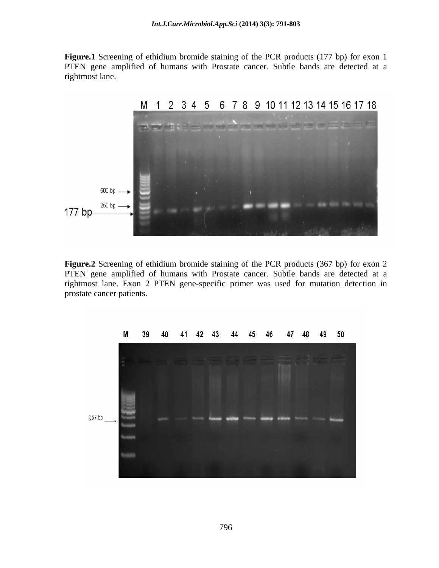**Figure.1** Screening of ethidium bromide staining of the PCR products (177 bp) for exon 1 PTEN gene amplified of humans with Prostate cancer. Subtle bands are detected at a rightmost lane.



**Figure.2** Screening of ethidium bromide staining of the PCR products (367 bp) for exon 2 PTEN gene amplified of humans with Prostate cancer. Subtle bands are detected at a rightmost lane. Exon 2 PTEN gene-specific primer was used for mutation detection in prostate cancer patients.

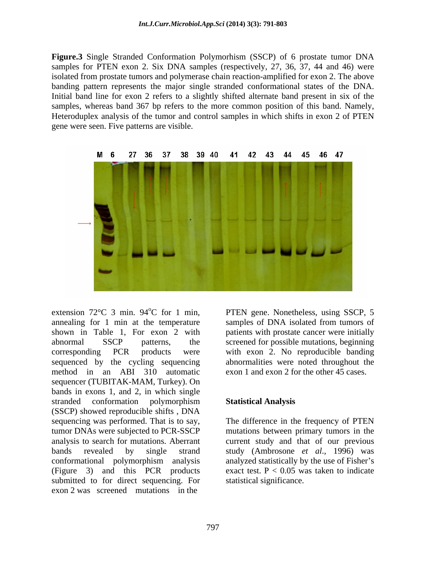**Figure.3** Single Stranded Conformation Polymorhism (SSCP) of 6 prostate tumor DNA samples for PTEN exon 2. Six DNA samples (respectively, 27, 36, 37, 44 and 46) were isolated from prostate tumors and polymerase chain reaction-amplified for exon 2. The above banding pattern represents the major single stranded conformational states of the DNA. Initial band line for exon 2 refers to a slightly shifted alternate band present in six of the samples, whereas band 367 bp refers to the more common position of this band. Namely, Heteroduplex analysis of the tumor and control samples in which shifts in exon 2 of PTEN gene were seen. Five patterns are visible.



extension 72°C 3 min. 94°C for 1 min, PTEN gene. Nonetheless, using SSCP, 5 annealing for 1 min at the temperature samples of DNA isolated from tumors of shown in Table 1, For exon 2 with patients with prostate cancer were initially abnormal SSCP patterns, the screened for possible mutations, beginning corresponding PCR products were with exon 2. No reproducible banding sequenced by the cycling sequencing method in an ABI 310 automatic sequencer (TUBITAK-MAM, Turkey). On bands in exons 1, and 2, in which single stranded conformation polymorphism **Statistical Analysis** (SSCP) showed reproducible shifts , DNA sequencing was performed. That is to say, tumor DNAs were subjected to PCR-SSCP mutations between primary tumors in the analysis to search for mutations. Aberrant current study and that of our previous bands revealed by single strand study (Ambrosone *et al*., 1996) was conformational polymorphism analysis (Figure 3) and this PCR products submitted to for direct sequencing. For exon 2 was screened mutations in the

abnormalities were noted throughout the exon 1 and exon 2 for the other 45 cases.

#### **Statistical Analysis**

The difference in the frequency of PTEN analyzed statistically by the use of Fisher's exact test.  $P < 0.05$  was taken to indicate statistical significance.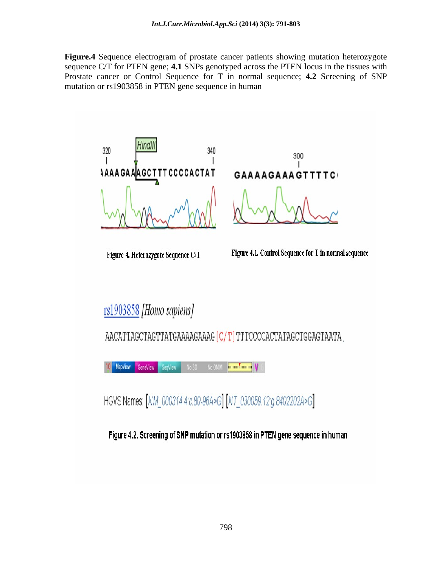**Figure.4** Sequence electrogram of prostate cancer patients showing mutation heterozygote sequence C/T for PTEN gene; **4.1** SNPs genotyped across the PTEN locus in the tissues with Prostate cancer or Control Sequence for T in normal sequence; **4.2** Screening of SNP mutation or rs1903858 in PTEN gene sequence in human

Hindll 320 340 A AIA GC T T T CC C C A C T A T

Figure 4. Heterozygote Sequence C/T

GAAAAGAAAGTTTTC

300

Figure 4.1. Control Sequence for T in normal sequence

rs1903858 [Homo sapiens]

AACATTAGCTAGTTATGAAAAGAAAG [C/T] TTTCCCCACTATAGCTGGAGTAATA

MapView GeneView SeqView No OMM **DOMINION V** No 3D

HGVS Names: [NM\_000314.4:c.80-96A>G] [NT\_030059.12:g.8402202A>G]

Figure 4.2. Screening of SNP mutation or rs1903858 in PTEN gene sequence in human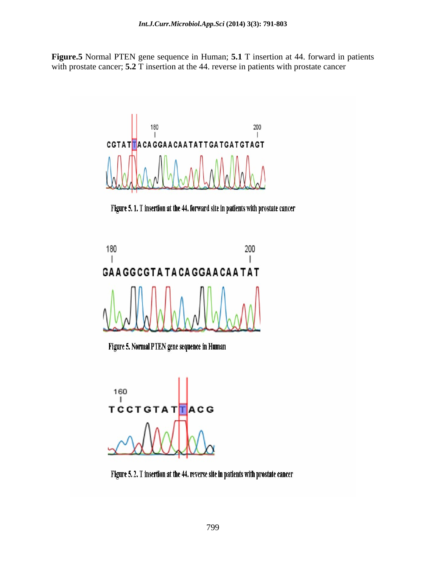**Figure.5** Normal PTEN gene sequence in Human; **5.1** T insertion at 44. forward in patients with prostate cancer; **5.2** T insertion at the 44. reverse in patients with prostate cancer



Figure 5. 1. T insertion at the 44. forward site in patients with prostate cancer



Figure 5. Normal PTEN gene sequence in Human



Figure 5.2. T insertion at the 44. reverse site in patients with prostate cancer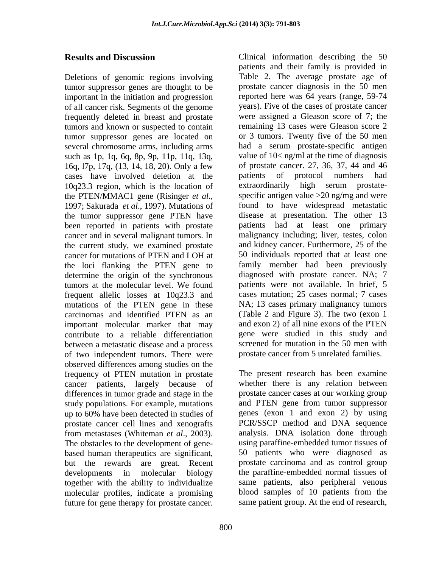Deletions of genomic regions involving tumor suppressor genes are thought to be important in the initiation and progression frequently deleted in breast and prostate tumors and known or suspected to contain tumor suppressor genes are located on several chromosome arms, including arms such as 1p, 1q, 6q, 8p, 9p, 11p, 11q, 13q, 16q, l7p, 17q, (13, 14, 18, 20). Only a few cases have involved deletion at the patients of protocol numbers had  $10q23.3$  region, which is the location of extraordinarily high serum prostate-10q23.3 region, which is the location of the tumor suppressor gene PTEN have been reported in patients with prostate cancer and in several malignant tumors. In the current study, we examined prostate the loci flanking the PTEN gene to determine the origin of the synchronous frequent allelic losses at 10q23.3 and mutations of the PTEN gene in these carcinomas and identified PTEN as an important molecular marker that may between a metastatic disease and a process of two independent tumors. There were observed differences among studies on the frequency of PTEN mutation in prostate cancer patients, largely because of differences in tumor grade and stage in the prostate cancer cases at our working group<br>study populations. For example, mutations and PTEN gene from tumor suppressor study populations. For example, mutations up to 60% have been detected in studies of prostate cancer cell lines and xenografts from metastases (Whiteman *et al*., 2003). The obstacles to the development of gene based human therapeutics are significant, but the rewards are great. Recent together with the ability to individualize molecular profiles, indicate a promising future for gene therapy for prostate cancer.

**Results and Discussion** Clinical information describing the 50 of all cancer risk. Segments of the genome years). Five of the cases of prostate cancer the PTEN/MMAC1 gene (Risinger *et al.*, specific antigen value > 20 ng/mg and were<br>1997; Sakurada *et al.*, 1997). Mutations of found to have widespread metastatic cancer for mutations of PTEN and LOH at 50 individuals reported that at least one tumors at the molecular level. We found patients were not available. In brief, 5 contribute to a reliable differentiation gene were studied in this study and patients and their family is provided in Table 2. The average prostate age of prostate cancer diagnosis in the 50 men reported here was 64 years (range, 59-74 were assigned a Gleason score of 7; the remaining 13 cases were Gleason score 2 or 3 tumors. Twenty five of the 50 men had a serum prostate-specific antigen value of 10< ng/ml at the time of diagnosis of prostate cancer. 27, 36, 37, 44 and 46 patients of protocol numbers extraordinarily high serum prostate specific antigen value >20 ng/mg and were found to have widespread metastatic disease at presentation. The other 13 patients had at least one primary malignancy including; liver, testes, colon and kidney cancer. Furthermore, 25 of the 50 individuals reported that at least one family member had been previously diagnosed with prostate cancer. NA; 7 cases mutation; 25 cases normal; 7 cases NA; 13 cases primary malignancy tumors (Table 2 and Figure 3). The two (exon 1 and exon 2) of all nine exons of the PTEN screened for mutation in the 50 men with prostate cancer from 5 unrelated families.

developments in molecular biology the paraffine-embedded normal tissues of The present research has been examine whether there is any relation between prostate cancer cases at our working group and PTEN gene from tumor suppressor genes (exon 1 and exon 2) by using PCR/SSCP method and DNA sequence analysis. DNA isolation done through using paraffine-embedded tumor tissues of 50 patients who were diagnosed as prostate carcinoma and as control group same patients, also peripheral venous blood samples of 10 patients from the same patient group. At the end of research,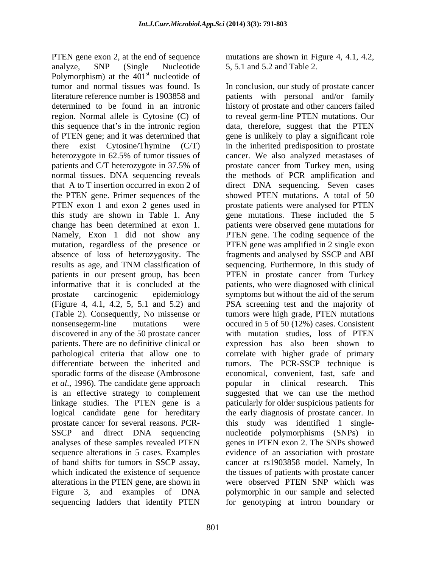PTEN gene exon 2, at the end of sequence mutations are shown in Figure 4, 4.1, 4.2, analyze, SNP (Single Nucleotide 5, 5.1 and 5.2 and Table 2. Polymorphism) at the  $401<sup>st</sup>$  nucleotide of st nucleotide of tumor and normal tissues was found. Is In conclusion, our study of prostate cancer literature reference number is 1903858 and patients with personal and/or family determined to be found in an intronic history of prostate and other cancers failed region. Normal allele is Cytosine (C) of to reveal germ-line PTEN mutations. Our this sequence that's in the intronic region data, therefore, suggest that the PTEN of PTEN gene; and it was determined that gene is unlikely to play a significant role there exist Cytosine/Thymine (C/T) in the inherited predisposition to prostate heterozygote in 62.5% of tumor tissues of cancer. We also analyzed metastases of patients and C/T heterozygote in 37.5% of prostate cancer from Turkey men, using normal tissues. DNA sequencing reveals the methods of PCR amplification and that A to T insertion occurred in exon 2 of direct DNA sequencing. Seven cases the PTEN gene. Primer sequences of the showed PTEN mutations. A total of 50 PTEN exon 1 and exon 2 genes used in prostate patients were analysed for PTEN this study are shown in Table 1. Any gene mutations. These included the 5 change has been determined at exon 1. patients were observed gene mutations for Namely, Exon 1 did not show any PTEN gene. The coding sequence of the mutation, regardless of the presence or PTEN gene was amplified in 2 single exon absence of loss of heterozygosity. The fragments and analysed by SSCP and ABI results as age, and TNM classification of patients in our present group, has been PTEN in prostate cancer from Turkey informative that it is concluded at the patients, who were diagnosed with clinical prostate carcinogenic epidemiology symptoms but without the aid of the serum (Figure 4, 4.1, 4.2, 5, 5.1 and 5.2) and PSA screening test and the majority of (Table 2). Consequently, No missense or nonsensegerm-line mutations were occured in 5 of 50 (12%) cases. Consistent discovered in any of the 50 prostate cancer with mutation studies, loss of PTEN patients. There are no definitive clinical or expression has also been shown to pathological criteria that allow one to correlate with higher grade of primary differentiate between the inherited and tumors. The PCR-SSCP technique is sporadic forms of the disease (Ambrosone economical, convenient, fast, safe and *et al.*, 1996). The candidate gene approach popular in clinical research. This is an effective strategy to complement suggested that we can use the method linkage studies. The PTEN gene is a paticularly for older suspicious patients for logical candidate gene for hereditary the early diagnosis of prostate cancer. In prostate cancer for several reasons. PCR- this study was identified 1 single- SSCP and direct DNA sequencing nucleotide polymorphisms (SNPs) in analyses of these samples revealed PTEN genes in PTEN exon 2. The SNPs showed sequence alterations in 5 cases. Examples of band shifts for tumors in SSCP assay, cancer at rs1903858 model. Namely, In which indicated the existence of sequence alterations in the PTEN gene, are shown in were observed PTEN SNP which was Figure 3, and examples of DNA polymorphic in our sample and selected

801

5, 5.1 and 5.2 and Table 2.

sequencing ladders that identify PTEN for genotyping at intron boundary orshowed PTEN mutations. A total of 50 sequencing. Furthermore, In this study of tumors were high grade, PTEN mutations popular in clinical research. This evidence of an association with prostate the tissues of patients with prostate cancer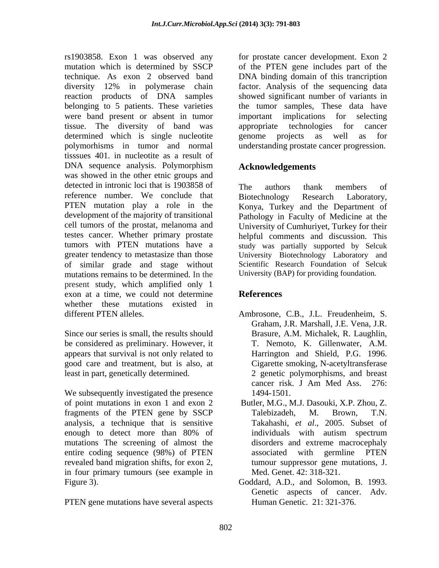rs1903858. Exon 1 was observed any for prostate cancer development. Exon 2 mutation which is determined by SSCP technique. As exon 2 observed band DNA binding domain of this trancription diversity 12% in polymerase chain factor. Analysis of the sequencing data reaction products of DNA samples showed significant number of variants in belonging to 5 patients. These varieties the tumor samples, These data have were band present or absent in tumor important implications for selecting tissue. The diversity of band was determined which is single nucleotite genome projects as well as for polymorhisms in tumor and normal understanding prostate cancer progression. tisssues 401. in nucleotite as a result of DNA sequence analysis. Polymorphism was showed in the other etnic groups and detected in intronic loci that is 1903858 of The authors thank members of reference number. We conclude that Biotechnology Research Laboratory, PTEN mutation play a role in the development of the majority of transitional cell tumors of the prostat, melanoma and University of Cumhuriyet, Turkey for their testes cancer. Whether primary prostate tumors with PTEN mutations have a study was partially supported by Selcuk greater tendency to metastasize than those University Biotechnology Laboratory and of similar grade and stage without Scientific Research Foundation of Selcuk mutations remains to be determined. In the present study, which amplified only 1 exon at a time, we could not determine References whether these mutations existed in

Since our series is small, the results should be considered as preliminary. However, it appears that survival is not only related to good care and treatment, but is also, at least in part, genetically determined. 2 genetic polymorphisms, and breast

We subsequently investigated the presence 1494-1501. of point mutations in exon 1 and exon 2 fragments of the PTEN gene by SSCP Talebizadeh, M. Brown, T.N. analysis, a technique that is sensitive enough to detect more than 80% of mutations The screening of almost the entire coding sequence (98%) of PTEN associated with germline PTEN revealed band migration shifts, for exon 2, in four primary tumours (see example in Figure 3). Goddard, A.D., and Solomon, B. 1993.

PTEN gene mutations have several aspects

of the PTEN gene includes part of the important implications for selecting appropriate technologies for cancer genome projects as well as for

# **Acknowledgements**

The authors thank members of Biotechnology Research Laboratory, Konya, Turkey and the Department of Pathology in Faculty of Medicine at the helpful comments and discussion. This University (BAP) for providing foundation.

## **References**

- different PTEN alleles. Ambrosone, C.B., J.L. Freudenheim, S. Graham, J.R. Marshall, J.E. Vena, J.R. Brasure, A.M. Michalek, R. Laughlin, T. Nemoto, K. Gillenwater, A.M. Harrington and Shield, P.G. 1996. Cigarette smoking, N-acetyltransferase cancer risk. J Am Med Ass. 276: 1494-1501.
	- Butler, M.G., M.J. Dasouki, X.P. Zhou, Z. Talebizadeh, M. Brown, T.N. Takahashi, *et al*., 2005. Subset of individuals with autism spectrum disorders and extreme macrocephaly associated with germline PTEN tumour suppressor gene mutations, J. Med. Genet. 42: 318-321.
	- Genetic aspects of cancer. Adv. Human Genetic. 21: 321-376.